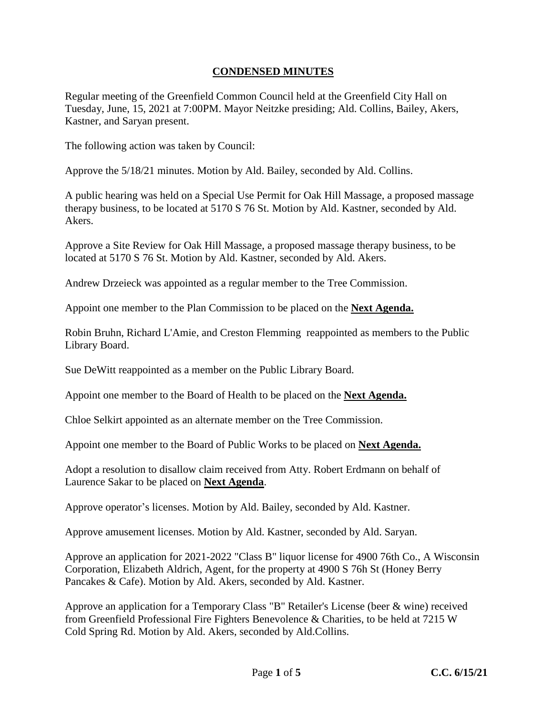## **CONDENSED MINUTES**

Regular meeting of the Greenfield Common Council held at the Greenfield City Hall on Tuesday, June, 15, 2021 at 7:00PM. Mayor Neitzke presiding; Ald. Collins, Bailey, Akers, Kastner, and Saryan present.

The following action was taken by Council:

Approve the 5/18/21 minutes. Motion by Ald. Bailey, seconded by Ald. Collins.

A public hearing was held on a Special Use Permit for Oak Hill Massage, a proposed massage therapy business, to be located at 5170 S 76 St. Motion by Ald. Kastner, seconded by Ald. **Akers**.

Approve a Site Review for Oak Hill Massage, a proposed massage therapy business, to be located at 5170 S 76 St. Motion by Ald. Kastner, seconded by Ald. Akers.

Andrew Drzeieck was appointed as a regular member to the Tree Commission.

Appoint one member to the Plan Commission to be placed on the **Next Agenda.**

Robin Bruhn, Richard L'Amie, and Creston Flemming reappointed as members to the Public Library Board.

Sue DeWitt reappointed as a member on the Public Library Board.

Appoint one member to the Board of Health to be placed on the **Next Agenda.**

Chloe Selkirt appointed as an alternate member on the Tree Commission.

Appoint one member to the Board of Public Works to be placed on **Next Agenda.**

Adopt a resolution to disallow claim received from Atty. Robert Erdmann on behalf of Laurence Sakar to be placed on **Next Agenda**.

Approve operator's licenses. Motion by Ald. Bailey, seconded by Ald. Kastner.

Approve amusement licenses. Motion by Ald. Kastner, seconded by Ald. Saryan.

Approve an application for 2021-2022 "Class B" liquor license for 4900 76th Co., A Wisconsin Corporation, Elizabeth Aldrich, Agent, for the property at 4900 S 76h St (Honey Berry Pancakes & Cafe). Motion by Ald. Akers, seconded by Ald. Kastner.

Approve an application for a Temporary Class "B" Retailer's License (beer & wine) received from Greenfield Professional Fire Fighters Benevolence & Charities, to be held at 7215 W Cold Spring Rd. Motion by Ald. Akers, seconded by Ald.Collins.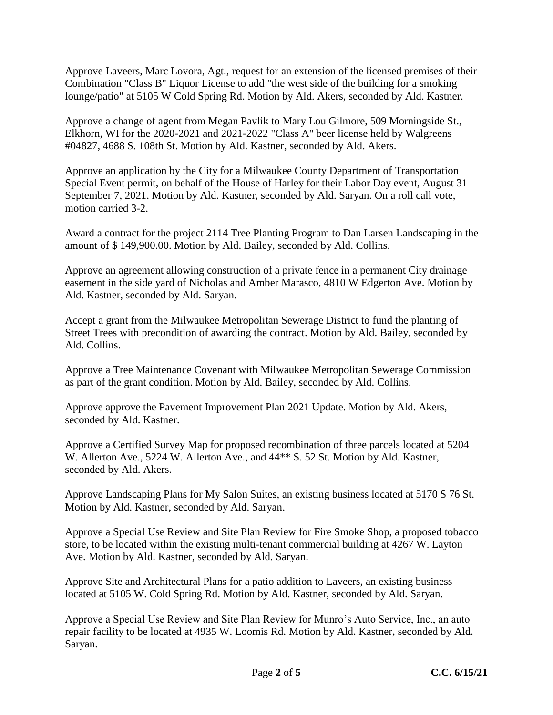Approve Laveers, Marc Lovora, Agt., request for an extension of the licensed premises of their Combination "Class B" Liquor License to add "the west side of the building for a smoking lounge/patio" at 5105 W Cold Spring Rd. Motion by Ald. Akers, seconded by Ald. Kastner.

Approve a change of agent from Megan Pavlik to Mary Lou Gilmore, 509 Morningside St., Elkhorn, WI for the 2020-2021 and 2021-2022 "Class A" beer license held by Walgreens #04827, 4688 S. 108th St. Motion by Ald. Kastner, seconded by Ald. Akers.

Approve an application by the City for a Milwaukee County Department of Transportation Special Event permit, on behalf of the House of Harley for their Labor Day event, August 31 – September 7, 2021. Motion by Ald. Kastner, seconded by Ald. Saryan. On a roll call vote, motion carried 3-2.

Award a contract for the project 2114 Tree Planting Program to Dan Larsen Landscaping in the amount of \$ 149,900.00. Motion by Ald. Bailey, seconded by Ald. Collins.

Approve an agreement allowing construction of a private fence in a permanent City drainage easement in the side yard of Nicholas and Amber Marasco, 4810 W Edgerton Ave. Motion by Ald. Kastner, seconded by Ald. Saryan.

Accept a grant from the Milwaukee Metropolitan Sewerage District to fund the planting of Street Trees with precondition of awarding the contract. Motion by Ald. Bailey, seconded by Ald. Collins.

Approve a Tree Maintenance Covenant with Milwaukee Metropolitan Sewerage Commission as part of the grant condition. Motion by Ald. Bailey, seconded by Ald. Collins.

Approve approve the Pavement Improvement Plan 2021 Update. Motion by Ald. Akers, seconded by Ald. Kastner.

Approve a Certified Survey Map for proposed recombination of three parcels located at 5204 W. Allerton Ave., 5224 W. Allerton Ave., and 44<sup>\*\*</sup> S. 52 St. Motion by Ald. Kastner, seconded by Ald. Akers.

Approve Landscaping Plans for My Salon Suites, an existing business located at 5170 S 76 St. Motion by Ald. Kastner, seconded by Ald. Saryan.

Approve a Special Use Review and Site Plan Review for Fire Smoke Shop, a proposed tobacco store, to be located within the existing multi-tenant commercial building at 4267 W. Layton Ave. Motion by Ald. Kastner, seconded by Ald. Saryan.

Approve Site and Architectural Plans for a patio addition to Laveers, an existing business located at 5105 W. Cold Spring Rd. Motion by Ald. Kastner, seconded by Ald. Saryan.

Approve a Special Use Review and Site Plan Review for Munro's Auto Service, Inc., an auto repair facility to be located at 4935 W. Loomis Rd. Motion by Ald. Kastner, seconded by Ald. Saryan.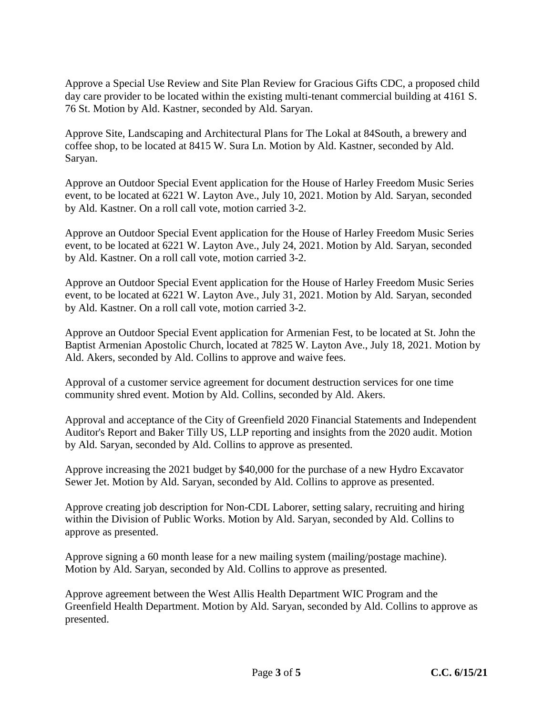Approve a Special Use Review and Site Plan Review for Gracious Gifts CDC, a proposed child day care provider to be located within the existing multi-tenant commercial building at 4161 S. 76 St. Motion by Ald. Kastner, seconded by Ald. Saryan.

Approve Site, Landscaping and Architectural Plans for The Lokal at 84South, a brewery and coffee shop, to be located at 8415 W. Sura Ln. Motion by Ald. Kastner, seconded by Ald. Saryan.

Approve an Outdoor Special Event application for the House of Harley Freedom Music Series event, to be located at 6221 W. Layton Ave., July 10, 2021. Motion by Ald. Saryan, seconded by Ald. Kastner. On a roll call vote, motion carried 3-2.

Approve an Outdoor Special Event application for the House of Harley Freedom Music Series event, to be located at 6221 W. Layton Ave., July 24, 2021. Motion by Ald. Saryan, seconded by Ald. Kastner. On a roll call vote, motion carried 3-2.

Approve an Outdoor Special Event application for the House of Harley Freedom Music Series event, to be located at 6221 W. Layton Ave., July 31, 2021. Motion by Ald. Saryan, seconded by Ald. Kastner. On a roll call vote, motion carried 3-2.

Approve an Outdoor Special Event application for Armenian Fest, to be located at St. John the Baptist Armenian Apostolic Church, located at 7825 W. Layton Ave., July 18, 2021. Motion by Ald. Akers, seconded by Ald. Collins to approve and waive fees.

Approval of a customer service agreement for document destruction services for one time community shred event. Motion by Ald. Collins, seconded by Ald. Akers.

Approval and acceptance of the City of Greenfield 2020 Financial Statements and Independent Auditor's Report and Baker Tilly US, LLP reporting and insights from the 2020 audit. Motion by Ald. Saryan, seconded by Ald. Collins to approve as presented.

Approve increasing the 2021 budget by \$40,000 for the purchase of a new Hydro Excavator Sewer Jet. Motion by Ald. Saryan, seconded by Ald. Collins to approve as presented.

Approve creating job description for Non-CDL Laborer, setting salary, recruiting and hiring within the Division of Public Works. Motion by Ald. Saryan, seconded by Ald. Collins to approve as presented.

Approve signing a 60 month lease for a new mailing system (mailing/postage machine). Motion by Ald. Saryan, seconded by Ald. Collins to approve as presented.

Approve agreement between the West Allis Health Department WIC Program and the Greenfield Health Department. Motion by Ald. Saryan, seconded by Ald. Collins to approve as presented.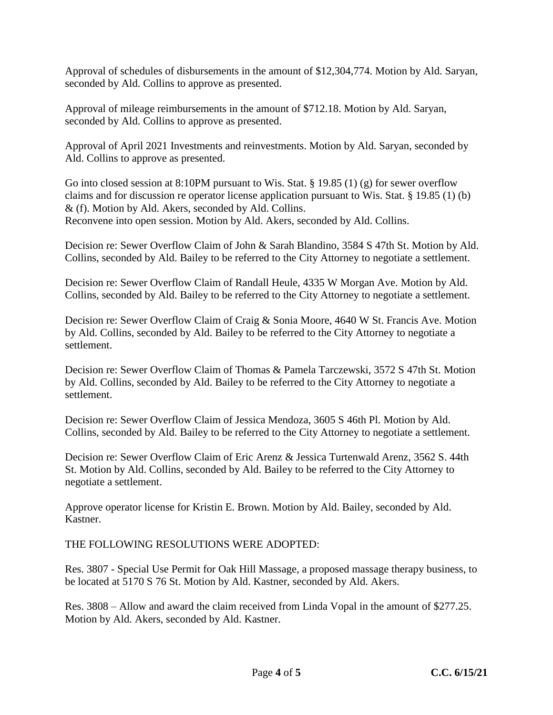Approval of schedules of disbursements in the amount of \$12,304,774. Motion by Ald. Saryan, seconded by Ald. Collins to approve as presented.

Approval of mileage reimbursements in the amount of \$712.18. Motion by Ald. Saryan, seconded by Ald. Collins to approve as presented.

Approval of April 2021 Investments and reinvestments. Motion by Ald. Saryan, seconded by Ald. Collins to approve as presented.

Go into closed session at 8:10PM pursuant to Wis. Stat. § 19.85 (1) (g) for sewer overflow claims and for discussion re operator license application pursuant to Wis. Stat. § 19.85 (1) (b) & (f). Motion by Ald. Akers, seconded by Ald. Collins. Reconvene into open session. Motion by Ald. Akers, seconded by Ald. Collins.

Decision re: Sewer Overflow Claim of John & Sarah Blandino, 3584 S 47th St. Motion by Ald. Collins, seconded by Ald. Bailey to be referred to the City Attorney to negotiate a settlement.

Decision re: Sewer Overflow Claim of Randall Heule, 4335 W Morgan Ave. Motion by Ald. Collins, seconded by Ald. Bailey to be referred to the City Attorney to negotiate a settlement.

Decision re: Sewer Overflow Claim of Craig & Sonia Moore, 4640 W St. Francis Ave. Motion by Ald. Collins, seconded by Ald. Bailey to be referred to the City Attorney to negotiate a settlement.

Decision re: Sewer Overflow Claim of Thomas & Pamela Tarczewski, 3572 S 47th St. Motion by Ald. Collins, seconded by Ald. Bailey to be referred to the City Attorney to negotiate a settlement.

Decision re: Sewer Overflow Claim of Jessica Mendoza, 3605 S 46th Pl. Motion by Ald. Collins, seconded by Ald. Bailey to be referred to the City Attorney to negotiate a settlement.

Decision re: Sewer Overflow Claim of Eric Arenz & Jessica Turtenwald Arenz, 3562 S. 44th St. Motion by Ald. Collins, seconded by Ald. Bailey to be referred to the City Attorney to negotiate a settlement.

Approve operator license for Kristin E. Brown. Motion by Ald. Bailey, seconded by Ald. Kastner.

THE FOLLOWING RESOLUTIONS WERE ADOPTED:

Res. 3807 - Special Use Permit for Oak Hill Massage, a proposed massage therapy business, to be located at 5170 S 76 St. Motion by Ald. Kastner, seconded by Ald. Akers.

Res. 3808 – Allow and award the claim received from Linda Vopal in the amount of \$277.25. Motion by Ald. Akers, seconded by Ald. Kastner.